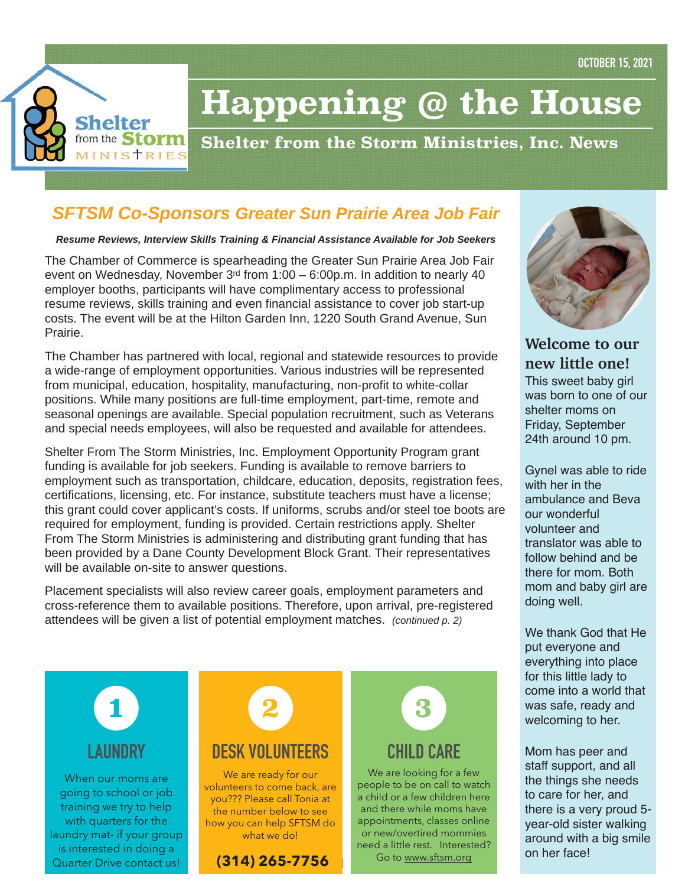**OCTOBER 15, 2021**



# **Happening @ the House**

**Shelter from the Storm Ministries, Inc. News**

## *SFTSM Co-Sponsors Greater Sun Prairie Area Job Fair*

*Resume Reviews, Interview Skills Training & Financial Assistance Available for Job Seekers* 

The Chamber of Commerce is spearheading the Greater Sun Prairie Area Job Fair event on Wednesday, November  $3<sup>rd</sup>$  from 1:00 – 6:00p.m. In addition to nearly 40 employer booths, participants will have complimentary access to professional resume reviews, skills training and even financial assistance to cover job start-up costs. The event will be at the Hilton Garden Inn, 1220 South Grand Avenue, Sun Prairie.

The Chamber has partnered with local, regional and statewide resources to provide a wide-range of employment opportunities. Various industries will be represented from municipal, education, hospitality, manufacturing, non-profit to white-collar positions. While many positions are full-time employment, part-time, remote and seasonal openings are available. Special population recruitment, such as Veterans and special needs employees, will also be requested and available for attendees.

Shelter From The Storm Ministries, Inc. Employment Opportunity Program grant funding is available for job seekers. Funding is available to remove barriers to employment such as transportation, childcare, education, deposits, registration fees, certifications, licensing, etc. For instance, substitute teachers must have a license; this grant could cover applicant's costs. If uniforms, scrubs and/or steel toe boots are required for employment, funding is provided. Certain restrictions apply. Shelter From The Storm Ministries is administering and distributing grant funding that has been provided by a Dane County Development Block Grant. Their representatives will be available on-site to answer questions.

Placement specialists will also review career goals, employment parameters and cross-reference them to available positions. Therefore, upon arrival, pre-registered attendees will be given a list of potential employment matches. *(continued p. 2)* 





### **Welcome to our new little one!**

This sweet baby girl was born to one of our shelter moms on Friday, September 24th around 10 pm.

Gynel was able to ride with her in the ambulance and Beva our wonderful volunteer and translator was able to follow behind and be there for mom. Both mom and baby girl are doing well.

We thank God that He put everyone and everything into place for this little lady to come into a world that was safe, ready and welcoming to her.

Mom has peer and staff support, and all the things she needs to care for her, and there is a very proud 5 year-old sister walking around with a big smile on her face!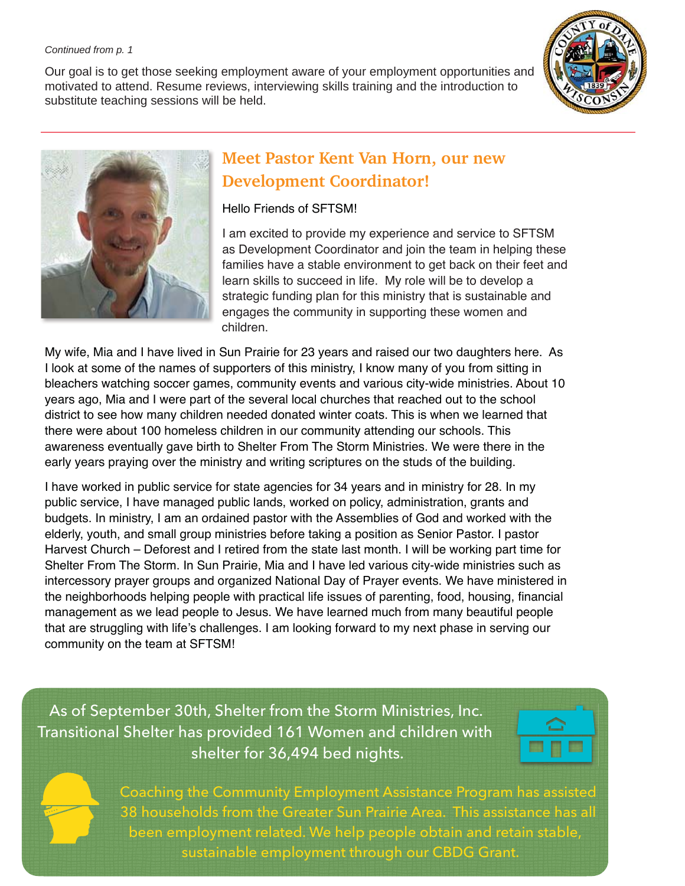#### *Continued from p. 1*

Our goal is to get those seeking employment aware of your employment opportunities and motivated to attend. Resume reviews, interviewing skills training and the introduction to substitute teaching sessions will be held.





## **Meet Pastor Kent Van Horn, our new Development Coordinator!**

#### Hello Friends of SFTSM!

I am excited to provide my experience and service to SFTSM as Development Coordinator and join the team in helping these families have a stable environment to get back on their feet and learn skills to succeed in life. My role will be to develop a strategic funding plan for this ministry that is sustainable and engages the community in supporting these women and children.

My wife, Mia and I have lived in Sun Prairie for 23 years and raised our two daughters here. As I look at some of the names of supporters of this ministry, I know many of you from sitting in bleachers watching soccer games, community events and various city-wide ministries. About 10 years ago, Mia and I were part of the several local churches that reached out to the school district to see how many children needed donated winter coats. This is when we learned that there were about 100 homeless children in our community attending our schools. This awareness eventually gave birth to Shelter From The Storm Ministries. We were there in the early years praying over the ministry and writing scriptures on the studs of the building.

I have worked in public service for state agencies for 34 years and in ministry for 28. In my public service, I have managed public lands, worked on policy, administration, grants and budgets. In ministry, I am an ordained pastor with the Assemblies of God and worked with the elderly, youth, and small group ministries before taking a position as Senior Pastor. I pastor Harvest Church – Deforest and I retired from the state last month. I will be working part time for Shelter From The Storm. In Sun Prairie, Mia and I have led various city-wide ministries such as intercessory prayer groups and organized National Day of Prayer events. We have ministered in the neighborhoods helping people with practical life issues of parenting, food, housing, financial management as we lead people to Jesus. We have learned much from many beautiful people that are struggling with life's challenges. I am looking forward to my next phase in serving our community on the team at SFTSM!

As of September 30th, Shelter from the Storm Ministries, Inc. Transitional Shelter has provided 161 Women and children with shelter for 36,494 bed nights.





Coaching the Community Employment Assistance Program has assisted 38 households from the Greater Sun Prairie Area. This assistance has all been employment related. We help people obtain and retain stable, sustainable employment through our CBDG Grant.